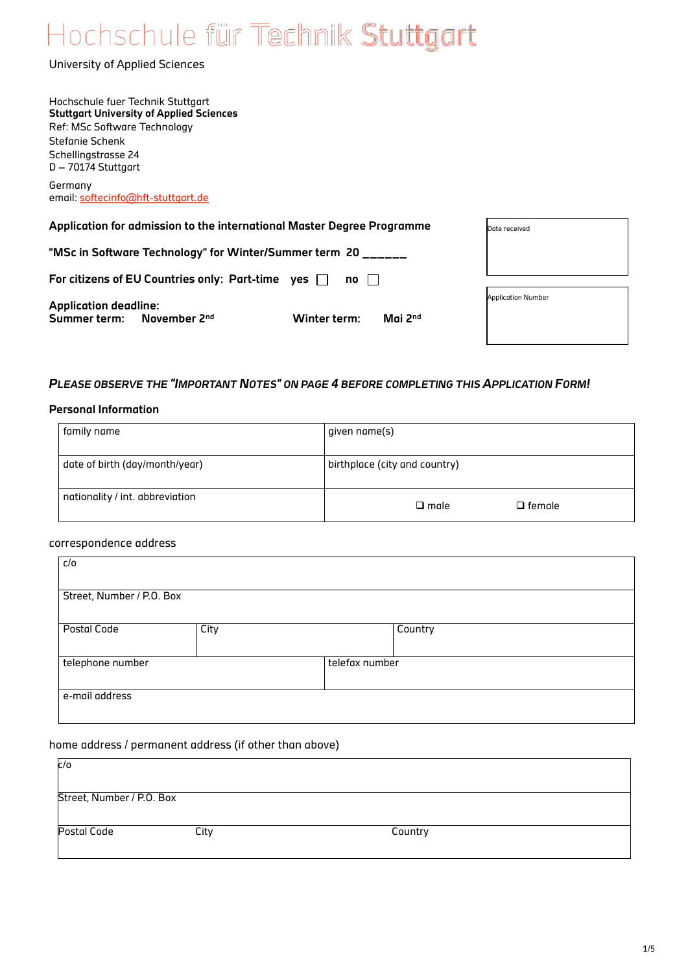# Hochschule für Technik Stuttgart

University of Applied Sciences

| Hochschule fuer Technik Stuttgart                                                  |                           |
|------------------------------------------------------------------------------------|---------------------------|
| <b>Stuttgart University of Applied Sciences</b>                                    |                           |
| Ref: MSc Software Technology                                                       |                           |
| Stefanie Schenk                                                                    |                           |
| Schellingstrasse 24                                                                |                           |
| $D - 70174$ Stuttgart                                                              |                           |
| Germany                                                                            |                           |
| email: softecinfo@hft-stuttgart.de                                                 |                           |
|                                                                                    |                           |
| Application for admission to the international Master Degree Programme             | Date received             |
|                                                                                    |                           |
| "MSc in Software Technology" for Winter/Summer term 20 ___                         |                           |
| For citizens of EU Countries only: Part-time yes $\Box$<br>no<br>$\sim$ 1 $\sim$ 1 |                           |
|                                                                                    |                           |
| <b>Application deadline:</b>                                                       | <b>Application Number</b> |

Mai 2<sup>nd</sup>

## *PLEASE OBSERVE THE "IMPORTANT NOTES" ON PAGE 4 BEFORE COMPLETING THIS APPLICATION FORM!*

#### **Personal Information**

| family name                     | given name(s)                   |  |  |
|---------------------------------|---------------------------------|--|--|
| date of birth (day/month/year)  | birthplace (city and country)   |  |  |
| nationality / int. abbreviation | $\Box$ male<br>$\square$ female |  |  |

#### correspondence address

| c/o                       |      |                |         |  |
|---------------------------|------|----------------|---------|--|
| Street, Number / P.O. Box |      |                |         |  |
|                           |      |                |         |  |
| Postal Code               | City |                | Country |  |
|                           |      |                |         |  |
| telephone number          |      | telefax number |         |  |
|                           |      |                |         |  |
| e-mail address            |      |                |         |  |
|                           |      |                |         |  |

## home address / permanent address (if other than above)

**Summer term:** November 2<sup>nd</sup> **Winter term:** 

| c/o                       |      |         |  |
|---------------------------|------|---------|--|
| Street, Number / P.O. Box |      |         |  |
| Postal Code               | City | Country |  |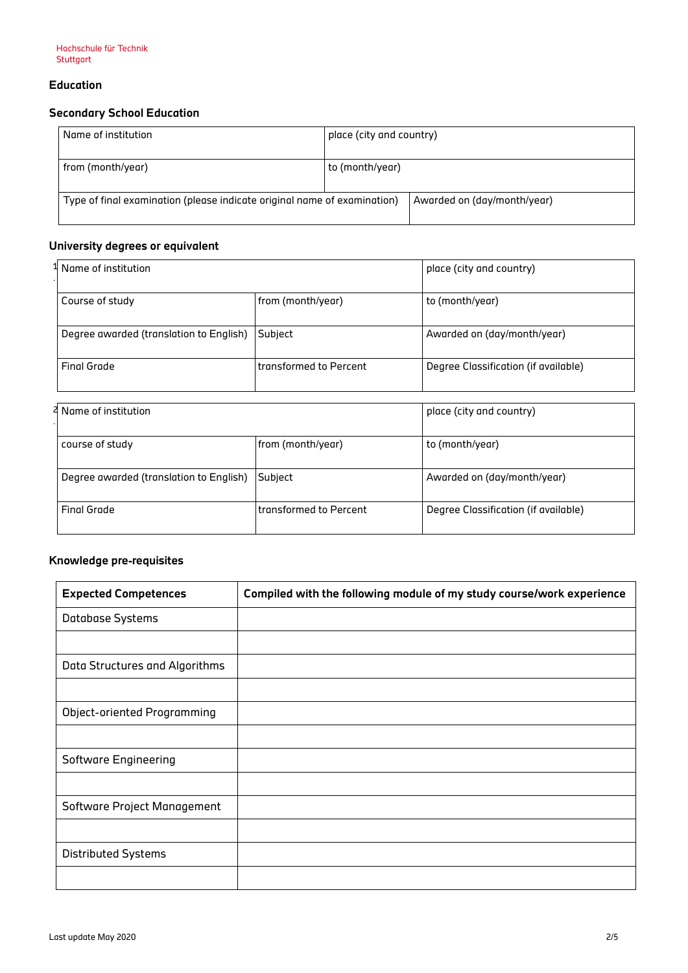## **Education**

# **Secondary School Education**

| Name of institution                                                      | place (city and country) |                             |
|--------------------------------------------------------------------------|--------------------------|-----------------------------|
| from (month/year)                                                        | to (month/year)          |                             |
| Type of final examination (please indicate original name of examination) |                          | Awarded on (day/month/year) |

# **University degrees or equivalent**

| <sup>1</sup> Name of institution        |                          | place (city and country)             |  |
|-----------------------------------------|--------------------------|--------------------------------------|--|
| Course of study                         | from (month/year)        | to (month/year)                      |  |
| Degree awarded (translation to English) | Subject                  | Awarded on (day/month/year)          |  |
| <b>Final Grade</b>                      | l transformed to Percent | Degree Classification (if available) |  |

| P Name of institution                   |                        | place (city and country)             |
|-----------------------------------------|------------------------|--------------------------------------|
| course of study                         | from (month/year)      | to (month/year)                      |
| Degree awarded (translation to English) | Subject                | Awarded on (day/month/year)          |
| <b>Final Grade</b>                      | transformed to Percent | Degree Classification (if available) |

# **Knowledge pre-requisites**

| <b>Expected Competences</b>    | Compiled with the following module of my study course/work experience |
|--------------------------------|-----------------------------------------------------------------------|
| Database Systems               |                                                                       |
|                                |                                                                       |
| Data Structures and Algorithms |                                                                       |
|                                |                                                                       |
| Object-oriented Programming    |                                                                       |
|                                |                                                                       |
| Software Engineering           |                                                                       |
|                                |                                                                       |
| Software Project Management    |                                                                       |
|                                |                                                                       |
| Distributed Systems            |                                                                       |
|                                |                                                                       |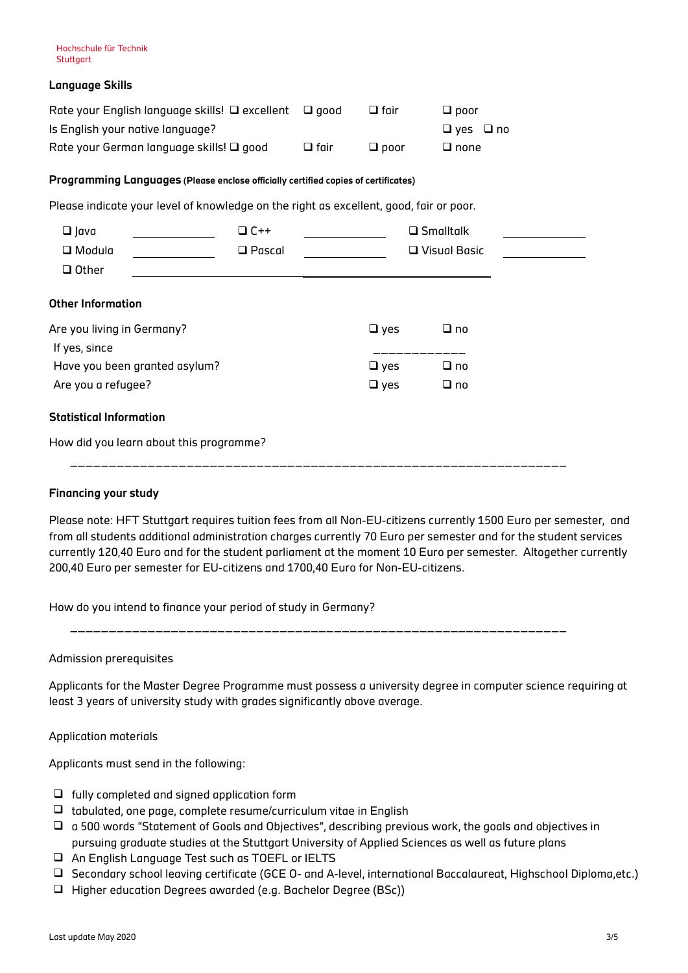## **Language Skills**

| Rate your English language skills! $\Box$ excellent $\Box$ good |             | $\Box$ fair | $\Box$ poor          |
|-----------------------------------------------------------------|-------------|-------------|----------------------|
| Is English your native language?                                |             |             | $\Box$ ves $\Box$ no |
| Rate your German language skills! $\Box$ good                   | $\Box$ fair | $\Box$ poor | $\Box$ none          |

#### **Programming Languages (Please enclose officially certified copies of certificates)**

Please indicate your level of knowledge on the right as excellent, good, fair or poor.

| $\Box$ Java<br>$\Box$ Modula<br>$\Box$ Other |                                                                  | $\Box$ C++<br>$\Box$ Pascal |               | $\square$ Smalltalk<br>$\Box$ Visual Basic |  |
|----------------------------------------------|------------------------------------------------------------------|-----------------------------|---------------|--------------------------------------------|--|
| <b>Other Information</b>                     |                                                                  |                             |               |                                            |  |
| Are you living in Germany?                   |                                                                  |                             | $\Box$ yes    | $\Box$ no                                  |  |
| If yes, since                                |                                                                  |                             |               |                                            |  |
|                                              | Have you been granted asylum?                                    |                             | $\Box$ yes    | $\Box$ no                                  |  |
| Are you a refugee?                           |                                                                  |                             | $\square$ yes | $\Box$ no                                  |  |
| <b>Statistical Information</b>               |                                                                  |                             |               |                                            |  |
|                                              | How did you learn about this programme?<br>_____________________ |                             |               |                                            |  |

### **Financing your study**

Please note: HFT Stuttgart requires tuition fees from all Non-EU-citizens currently 1500 Euro per semester, and from all students additional administration charges currently 70 Euro per semester and for the student services currently 120,40 Euro and for the student parliament at the moment 10 Euro per semester. Altogether currently 200,40 Euro per semester for EU-citizens and 1700,40 Euro for Non-EU-citizens.

How do you intend to finance your period of study in Germany?

\_\_\_\_\_\_\_\_\_\_\_\_\_\_\_\_\_\_\_\_\_\_\_\_\_\_\_\_\_\_\_\_\_\_\_\_\_\_\_\_\_\_\_\_\_\_\_\_\_\_\_\_\_\_\_\_\_\_\_\_\_\_\_\_

Admission prerequisites

Applicants for the Master Degree Programme must possess a university degree in computer science requiring at least 3 years of university study with grades significantly above average.

Application materials

Applicants must send in the following:

- $\Box$  fully completed and signed application form
- $\Box$  tabulated, one page, complete resume/curriculum vitae in English
- $\Box$  a 500 words "Statement of Goals and Objectives", describing previous work, the goals and objectives in pursuing graduate studies at the Stuttgart University of Applied Sciences as well as future plans
- An English Language Test such as TOEFL or IELTS
- Secondary school leaving certificate (GCE O- and A-level, international Baccalaureat, Highschool Diploma,etc.)
- Higher education Degrees awarded (e.g. Bachelor Degree (BSc))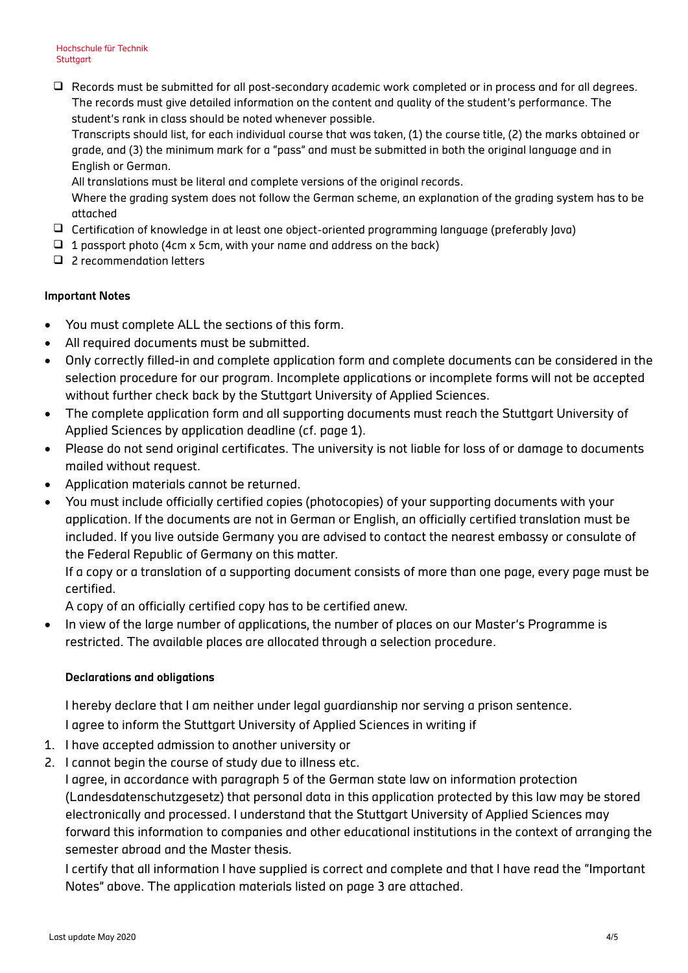□ Records must be submitted for all post-secondary academic work completed or in process and for all degrees. The records must give detailed information on the content and quality of the student's performance. The student's rank in class should be noted whenever possible.

Transcripts should list, for each individual course that was taken, (1) the course title, (2) the marks obtained or grade, and (3) the minimum mark for a "pass" and must be submitted in both the original language and in English or German.

All translations must be literal and complete versions of the original records.

Where the grading system does not follow the German scheme, an explanation of the grading system has to be attached

- Certification of knowledge in at least one object-oriented programming language (preferably Java)
- $\Box$  1 passport photo (4cm x 5cm, with your name and address on the back)
- □ 2 recommendation letters

## **Important Notes**

- You must complete ALL the sections of this form.
- All required documents must be submitted.
- Only correctly filled-in and complete application form and complete documents can be considered in the selection procedure for our program. Incomplete applications or incomplete forms will not be accepted without further check back by the Stuttgart University of Applied Sciences.
- The complete application form and all supporting documents must reach the Stuttgart University of Applied Sciences by application deadline (cf. page 1).
- Please do not send original certificates. The university is not liable for loss of or damage to documents mailed without request.
- Application materials cannot be returned.
- You must include officially certified copies (photocopies) of your supporting documents with your application. If the documents are not in German or English, an officially certified translation must be included. If you live outside Germany you are advised to contact the nearest embassy or consulate of the Federal Republic of Germany on this matter.

If a copy or a translation of a supporting document consists of more than one page, every page must be certified.

A copy of an officially certified copy has to be certified anew.

 In view of the large number of applications, the number of places on our Master's Programme is restricted. The available places are allocated through a selection procedure.

## **Declarations and obligations**

I hereby declare that I am neither under legal guardianship nor serving a prison sentence.

I agree to inform the Stuttgart University of Applied Sciences in writing if

- 1. I have accepted admission to another university or
- 2. I cannot begin the course of study due to illness etc.

I agree, in accordance with paragraph 5 of the German state law on information protection (Landesdatenschutzgesetz) that personal data in this application protected by this law may be stored electronically and processed. I understand that the Stuttgart University of Applied Sciences may forward this information to companies and other educational institutions in the context of arranging the semester abroad and the Master thesis.

I certify that all information I have supplied is correct and complete and that I have read the "Important Notes" above. The application materials listed on page 3 are attached.